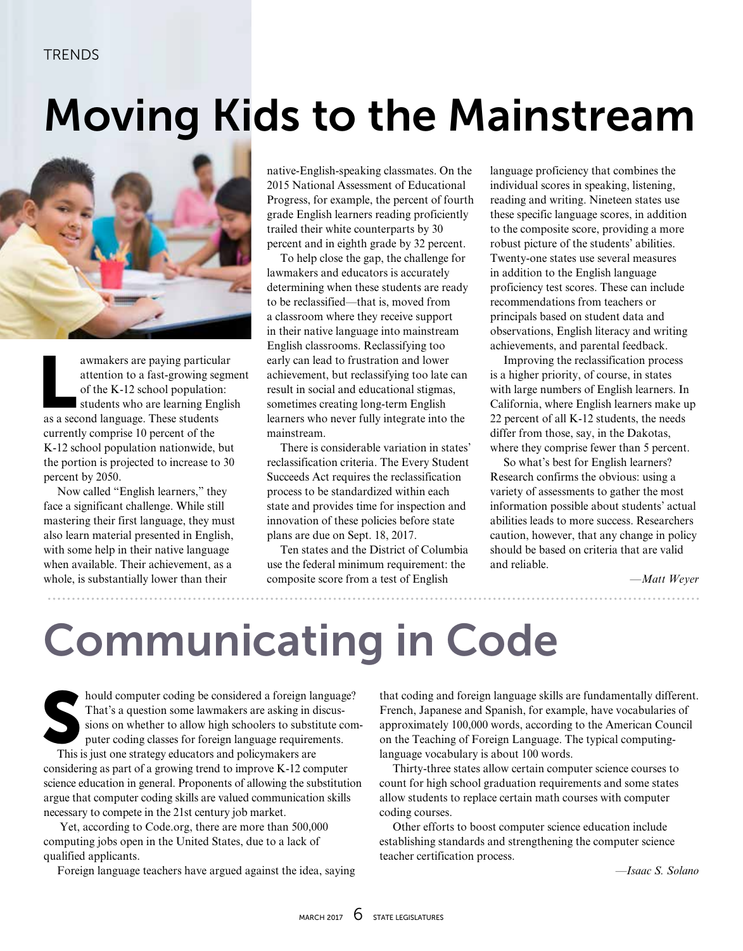### Moving Kids to the Mainstream



awmakers are paying particular<br>attention to a fast-growing segm<br>of the K-12 school population:<br>students who are learning Englis<br>as a second language. These students attention to a fast-growing segment of the K-12 school population: students who are learning English as a second language. These students currently comprise 10 percent of the K-12 school population nationwide, but the portion is projected to increase to 30 percent by 2050.

Now called "English learners," they face a significant challenge. While still mastering their first language, they must also learn material presented in English, with some help in their native language when available. Their achievement, as a whole, is substantially lower than their

native-English-speaking classmates. On the 2015 National Assessment of Educational Progress, for example, the percent of fourth grade English learners reading proficiently trailed their white counterparts by 30 percent and in eighth grade by 32 percent.

To help close the gap, the challenge for lawmakers and educators is accurately determining when these students are ready to be reclassified—that is, moved from a classroom where they receive support in their native language into mainstream English classrooms. Reclassifying too early can lead to frustration and lower achievement, but reclassifying too late can result in social and educational stigmas, sometimes creating long-term English learners who never fully integrate into the mainstream.

There is considerable variation in states' reclassification criteria. The Every Student Succeeds Act requires the reclassification process to be standardized within each state and provides time for inspection and innovation of these policies before state plans are due on Sept. 18, 2017.

Ten states and the District of Columbia use the federal minimum requirement: the composite score from a test of English

language proficiency that combines the individual scores in speaking, listening, reading and writing. Nineteen states use these specific language scores, in addition to the composite score, providing a more robust picture of the students' abilities. Twenty-one states use several measures in addition to the English language proficiency test scores. These can include recommendations from teachers or principals based on student data and observations, English literacy and writing achievements, and parental feedback.

Improving the reclassification process is a higher priority, of course, in states with large numbers of English learners. In California, where English learners make up 22 percent of all K-12 students, the needs differ from those, say, in the Dakotas, where they comprise fewer than 5 percent.

So what's best for English learners? Research confirms the obvious: using a variety of assessments to gather the most information possible about students' actual abilities leads to more success. Researchers caution, however, that any change in policy should be based on criteria that are valid and reliable.

*—Matt Weyer*

## Communicating in Code

hould computer coding be considered a foreign language?<br>That's a question some lawmakers are asking in discussions on whether to allow high schoolers to substitute conputer coding classes for foreign language requirements. That's a question some lawmakers are asking in discussions on whether to allow high schoolers to substitute computer coding classes for foreign language requirements.

This is just one strategy educators and policymakers are considering as part of a growing trend to improve K-12 computer science education in general. Proponents of allowing the substitution argue that computer coding skills are valued communication skills necessary to compete in the 21st century job market.

 Yet, according to Code.org, there are more than 500,000 computing jobs open in the United States, due to a lack of qualified applicants.

Foreign language teachers have argued against the idea, saying

that coding and foreign language skills are fundamentally different. French, Japanese and Spanish, for example, have vocabularies of approximately 100,000 words, according to the American Council on the Teaching of Foreign Language. The typical computinglanguage vocabulary is about 100 words.

Thirty-three states allow certain computer science courses to count for high school graduation requirements and some states allow students to replace certain math courses with computer coding courses.

Other efforts to boost computer science education include establishing standards and strengthening the computer science teacher certification process.

*—Isaac S. Solano*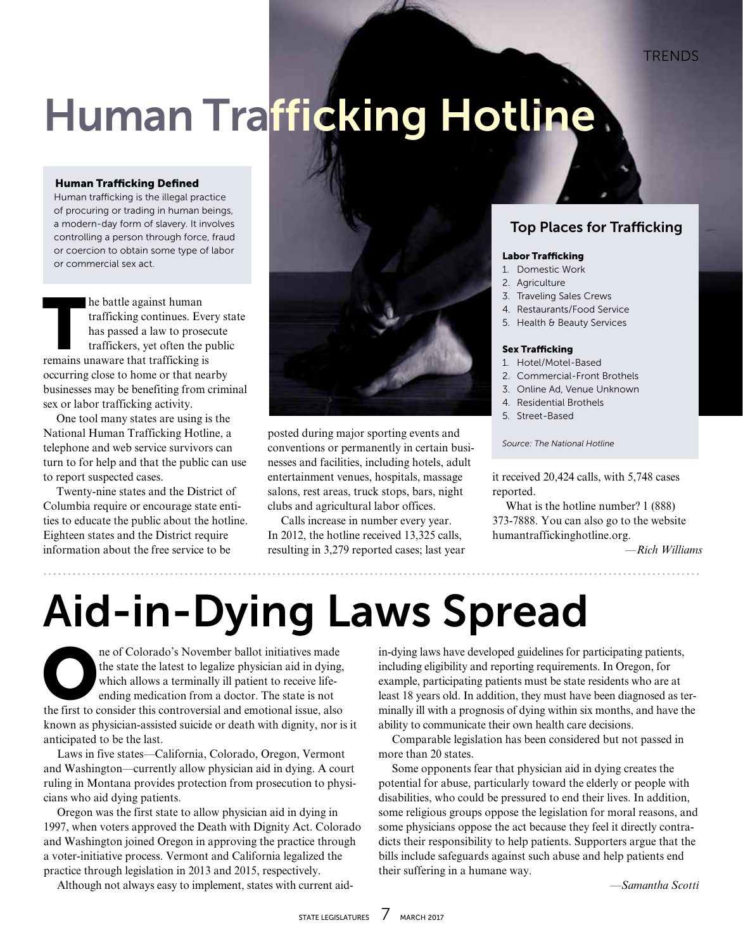# Human Trafficking Hotline

#### Human Trafficking Defined

Human trafficking is the illegal practice of procuring or trading in human beings, a modern-day form of slavery. It involves controlling a person through force, fraud or coercion to obtain some type of labor or commercial sex act.

The battle against human<br>trafficking continues. Ev<br>has passed a law to prose<br>traffickers, yet often the<br>remains unaware that trafficking is trafficking continues. Every state has passed a law to prosecute traffickers, yet often the public remains unaware that trafficking is occurring close to home or that nearby businesses may be benefiting from criminal sex or labor trafficking activity.

One tool many states are using is the National Human Trafficking Hotline, a telephone and web service survivors can turn to for help and that the public can use to report suspected cases.

Twenty-nine states and the District of Columbia require or encourage state entities to educate the public about the hotline. Eighteen states and the District require information about the free service to be



posted during major sporting events and conventions or permanently in certain businesses and facilities, including hotels, adult entertainment venues, hospitals, massage salons, rest areas, truck stops, bars, night clubs and agricultural labor offices.

Calls increase in number every year. In 2012, the hotline received 13,325 calls, resulting in 3,279 reported cases; last year

### Top Places for Trafficking

#### Labor Trafficking

- 1. Domestic Work
- 2. Agriculture
- 3. Traveling Sales Crews
- 4. Restaurants/Food Service
- 5. Health & Beauty Services

#### Sex Trafficking

- 1. Hotel/Motel-Based
- 2. Commercial-Front Brothels
- 3. Online Ad, Venue Unknown
- 4. Residential Brothels
- 5. Street-Based

*Source: The National Hotline*

it received 20,424 calls, with 5,748 cases reported.

What is the hotline number? 1 (888) 373-7888. You can also go to the website humantraffickinghotline.org.

*—Rich Williams*

. . . . . . . . . . . .

### Aid-in-Dying Laws Spread

ne of Colorado's November ballot initiatives made<br>the state the latest to legalize physician aid in dying<br>which allows a terminally ill patient to receive life-<br>ending medication from a doctor. The state is not<br>the first t the state the latest to legalize physician aid in dying, which allows a terminally ill patient to receive lifeending medication from a doctor. The state is not the first to consider this controversial and emotional issue, also known as physician-assisted suicide or death with dignity, nor is it anticipated to be the last.

Laws in five states—California, Colorado, Oregon, Vermont and Washington—currently allow physician aid in dying. A court ruling in Montana provides protection from prosecution to physicians who aid dying patients.

Oregon was the first state to allow physician aid in dying in 1997, when voters approved the Death with Dignity Act. Colorado and Washington joined Oregon in approving the practice through a voter-initiative process. Vermont and California legalized the practice through legislation in 2013 and 2015, respectively.

Although not always easy to implement, states with current aid-

in-dying laws have developed guidelines for participating patients, including eligibility and reporting requirements. In Oregon, for example, participating patients must be state residents who are at least 18 years old. In addition, they must have been diagnosed as terminally ill with a prognosis of dying within six months, and have the ability to communicate their own health care decisions.

Comparable legislation has been considered but not passed in more than 20 states.

Some opponents fear that physician aid in dying creates the potential for abuse, particularly toward the elderly or people with disabilities, who could be pressured to end their lives. In addition, some religious groups oppose the legislation for moral reasons, and some physicians oppose the act because they feel it directly contradicts their responsibility to help patients. Supporters argue that the bills include safeguards against such abuse and help patients end their suffering in a humane way.

*—Samantha Scotti*